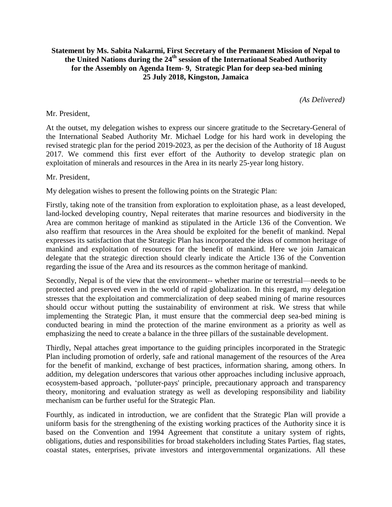## **Statement by Ms. Sabita Nakarmi, First Secretary of the Permanent Mission of Nepal to the United Nations during the 24th session of the International Seabed Authority for the Assembly on Agenda Item- 9, Strategic Plan for deep sea-bed mining 25 July 2018, Kingston, Jamaica**

*(As Delivered)*

## Mr. President,

At the outset, my delegation wishes to express our sincere gratitude to the Secretary-General of the International Seabed Authority Mr. Michael Lodge for his hard work in developing the revised strategic plan for the period 2019-2023, as per the decision of the Authority of 18 August 2017. We commend this first ever effort of the Authority to develop strategic plan on exploitation of minerals and resources in the Area in its nearly 25-year long history.

## Mr. President,

My delegation wishes to present the following points on the Strategic Plan:

Firstly, taking note of the transition from exploration to exploitation phase, as a least developed, land-locked developing country, Nepal reiterates that marine resources and biodiversity in the Area are common heritage of mankind as stipulated in the Article 136 of the Convention. We also reaffirm that resources in the Area should be exploited for the benefit of mankind. Nepal expresses its satisfaction that the Strategic Plan has incorporated the ideas of common heritage of mankind and exploitation of resources for the benefit of mankind. Here we join Jamaican delegate that the strategic direction should clearly indicate the Article 136 of the Convention regarding the issue of the Area and its resources as the common heritage of mankind.

Secondly, Nepal is of the view that the environment-- whether marine or terrestrial—needs to be protected and preserved even in the world of rapid globalization. In this regard, my delegation stresses that the exploitation and commercialization of deep seabed mining of marine resources should occur without putting the sustainability of environment at risk. We stress that while implementing the Strategic Plan, it must ensure that the commercial deep sea-bed mining is conducted bearing in mind the protection of the marine environment as a priority as well as emphasizing the need to create a balance in the three pillars of the sustainable development.

Thirdly, Nepal attaches great importance to the guiding principles incorporated in the Strategic Plan including promotion of orderly, safe and rational management of the resources of the Area for the benefit of mankind, exchange of best practices, information sharing, among others. In addition, my delegation underscores that various other approaches including inclusive approach, ecosystem-based approach, 'polluter-pays' principle, precautionary approach and transparency theory, monitoring and evaluation strategy as well as developing responsibility and liability mechanism can be further useful for the Strategic Plan.

Fourthly, as indicated in introduction, we are confident that the Strategic Plan will provide a uniform basis for the strengthening of the existing working practices of the Authority since it is based on the Convention and 1994 Agreement that constitute a unitary system of rights, obligations, duties and responsibilities for broad stakeholders including States Parties, flag states, coastal states, enterprises, private investors and intergovernmental organizations. All these